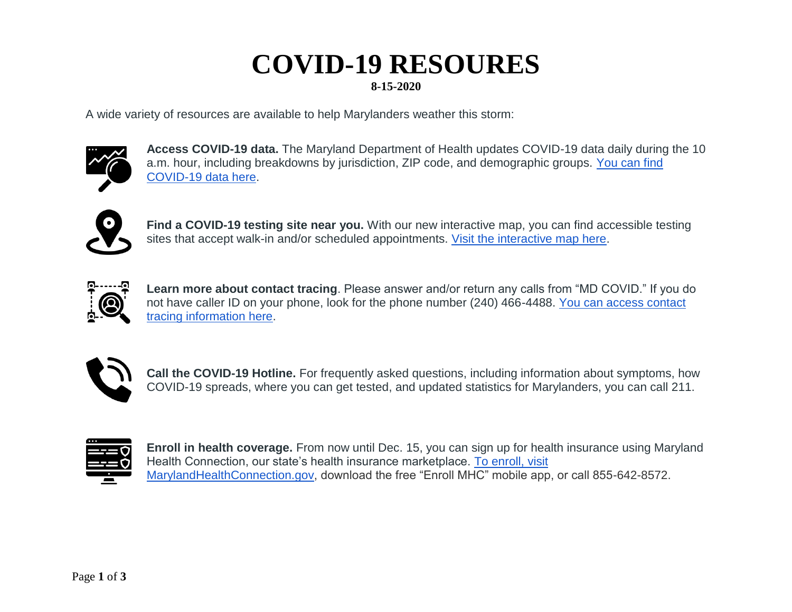## **COVID-19 RESOURES**

## **8-15-2020**

A wide variety of resources are available to help Marylanders weather this storm:



**Access COVID-19 data.** The Maryland Department of Health updates COVID-19 data daily during the 10 a.m. hour, including breakdowns by jurisdiction, ZIP code, and demographic groups. [You can find](https://lnks.gd/l/eyJhbGciOiJIUzI1NiJ9.eyJidWxsZXRpbl9saW5rX2lkIjoxMDAsInVyaSI6ImJwMjpjbGljayIsImJ1bGxldGluX2lkIjoiMjAyMDA4MTQuMjU3MDM2MTEiLCJ1cmwiOiJodHRwczovL2Nvcm9uYXZpcnVzLm1hcnlsYW5kLmdvdi8ifQ.JeE5NtZfmCxh_QvG_gMIhHFcM0kyCWkD47vK5KTUxrs/s/555148229/br/82407215288-l)  [COVID-19 data here.](https://lnks.gd/l/eyJhbGciOiJIUzI1NiJ9.eyJidWxsZXRpbl9saW5rX2lkIjoxMDAsInVyaSI6ImJwMjpjbGljayIsImJ1bGxldGluX2lkIjoiMjAyMDA4MTQuMjU3MDM2MTEiLCJ1cmwiOiJodHRwczovL2Nvcm9uYXZpcnVzLm1hcnlsYW5kLmdvdi8ifQ.JeE5NtZfmCxh_QvG_gMIhHFcM0kyCWkD47vK5KTUxrs/s/555148229/br/82407215288-l)



**Find a COVID-19 testing site near you.** With our new interactive map, you can find accessible testing sites that accept walk-in and/or scheduled appointments. [Visit the interactive map here.](https://lnks.gd/l/eyJhbGciOiJIUzI1NiJ9.eyJidWxsZXRpbl9saW5rX2lkIjoxMDEsInVyaSI6ImJwMjpjbGljayIsImJ1bGxldGluX2lkIjoiMjAyMDA4MTQuMjU3MDM2MTEiLCJ1cmwiOiJodHRwczovL2Nvcm9uYXZpcnVzLm1hcnlsYW5kLmdvdi9wYWdlcy9zeW1wdG9tcy10ZXN0aW5nIn0.X6dASuMQPJ1K3VGzefhpN4VqCEGsCdzxZPoTdRuvXFQ/s/555148229/br/82407215288-l)



**Learn more about contact tracing**. Please answer and/or return any calls from "MD COVID." If you do not have caller ID on your phone, look for the phone number (240) 466-4488. [You can access contact](https://lnks.gd/l/eyJhbGciOiJIUzI1NiJ9.eyJidWxsZXRpbl9saW5rX2lkIjoxMDIsInVyaSI6ImJwMjpjbGljayIsImJ1bGxldGluX2lkIjoiMjAyMDA4MTQuMjU3MDM2MTEiLCJ1cmwiOiJodHRwczovL2Nvcm9uYXZpcnVzLm1hcnlsYW5kLmdvdi9wYWdlcy9jb250YWN0LXRyYWNpbmcifQ.rCgmqLIM5WzbLIDAW_I1_5HIYrXeVtnwKCdM84OGMbk/s/555148229/br/82407215288-l)  [tracing information here.](https://lnks.gd/l/eyJhbGciOiJIUzI1NiJ9.eyJidWxsZXRpbl9saW5rX2lkIjoxMDIsInVyaSI6ImJwMjpjbGljayIsImJ1bGxldGluX2lkIjoiMjAyMDA4MTQuMjU3MDM2MTEiLCJ1cmwiOiJodHRwczovL2Nvcm9uYXZpcnVzLm1hcnlsYW5kLmdvdi9wYWdlcy9jb250YWN0LXRyYWNpbmcifQ.rCgmqLIM5WzbLIDAW_I1_5HIYrXeVtnwKCdM84OGMbk/s/555148229/br/82407215288-l)



**Call the COVID-19 Hotline.** For frequently asked questions, including information about symptoms, how COVID-19 spreads, where you can get tested, and updated statistics for Marylanders, you can call 211.



**Enroll in health coverage.** From now until Dec. 15, you can sign up for health insurance using Maryland Health Connection, our state's health insurance marketplace. [To enroll, visit](https://lnks.gd/l/eyJhbGciOiJIUzI1NiJ9.eyJidWxsZXRpbl9saW5rX2lkIjoxMDMsInVyaSI6ImJwMjpjbGljayIsImJ1bGxldGluX2lkIjoiMjAyMDA4MTQuMjU3MDM2MTEiLCJ1cmwiOiJodHRwczovL3d3dy5tYXJ5bGFuZGhlYWx0aGNvbm5lY3Rpb24uZ292L2hvdy10by1lbnJvbGwvIn0.rWmZeBDdZo3lVkwTyu5XUTIOk_alMHXxZe6zKODimIY/s/555148229/br/82407215288-l)  [MarylandHealthConnection.gov,](https://lnks.gd/l/eyJhbGciOiJIUzI1NiJ9.eyJidWxsZXRpbl9saW5rX2lkIjoxMDMsInVyaSI6ImJwMjpjbGljayIsImJ1bGxldGluX2lkIjoiMjAyMDA4MTQuMjU3MDM2MTEiLCJ1cmwiOiJodHRwczovL3d3dy5tYXJ5bGFuZGhlYWx0aGNvbm5lY3Rpb24uZ292L2hvdy10by1lbnJvbGwvIn0.rWmZeBDdZo3lVkwTyu5XUTIOk_alMHXxZe6zKODimIY/s/555148229/br/82407215288-l) download the free "Enroll MHC" mobile app, or call 855-642-8572.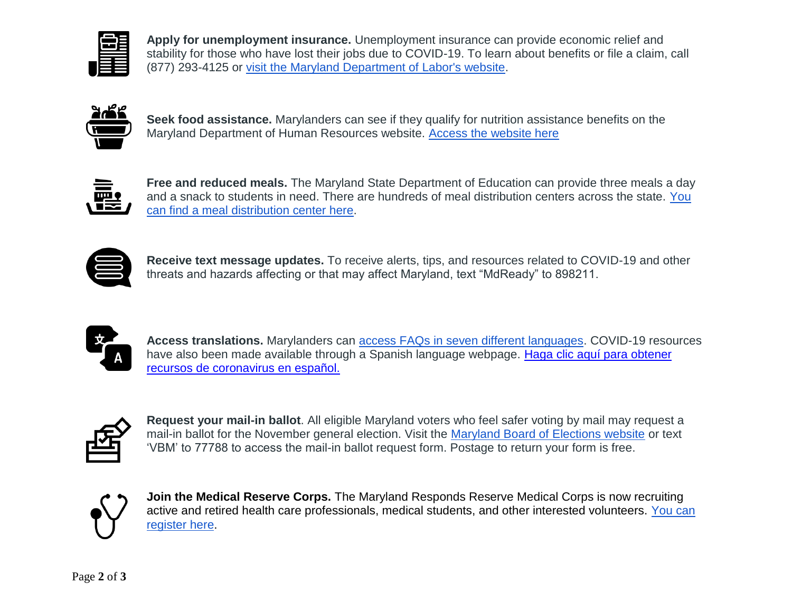

**Apply for unemployment insurance.** Unemployment insurance can provide economic relief and stability for those who have lost their jobs due to COVID-19. To learn about benefits or file a claim, call (877) 293-4125 or visit [the Maryland Department of Labor's website.](https://lnks.gd/l/eyJhbGciOiJIUzI1NiJ9.eyJidWxsZXRpbl9saW5rX2lkIjoxMDQsInVyaSI6ImJwMjpjbGljayIsImJ1bGxldGluX2lkIjoiMjAyMDA4MTQuMjU3MDM2MTEiLCJ1cmwiOiJodHRwOi8vZGxsci5zdGF0ZS5tZC51cy9lbXBsb3ltZW50L3VuZW1wbG95bWVudC5zaHRtbCJ9._9_u8HznkN1dG06yFFGJz_MEBVX9UuhnmQwtNsbnKgM/s/555148229/br/82407215288-l)



**Seek food assistance.** Marylanders can see if they qualify for nutrition assistance benefits on the Maryland Department of Human Resources website. [Access the website here](https://lnks.gd/l/eyJhbGciOiJIUzI1NiJ9.eyJidWxsZXRpbl9saW5rX2lkIjoxMDUsInVyaSI6ImJwMjpjbGljayIsImJ1bGxldGluX2lkIjoiMjAyMDA4MTQuMjU3MDM2MTEiLCJ1cmwiOiJodHRwczovL215ZGhyYmVuZWZpdHMuZGhyLnN0YXRlLm1kLnVzL2Rhc2hib2FyZENsaWVudC8jL2hvbWUifQ.lLpLYeLvHagR0YoEFEAyyfJ76tU4c2P27Xr6GyINwi4/s/555148229/br/82407215288-l)



**Free and reduced meals.** The Maryland State Department of Education can provide three meals a day and a snack to students in need. There are hundreds of meal distribution centers across the state. [You](https://lnks.gd/l/eyJhbGciOiJIUzI1NiJ9.eyJidWxsZXRpbl9saW5rX2lkIjoxMDYsInVyaSI6ImJwMjpjbGljayIsImJ1bGxldGluX2lkIjoiMjAyMDA4MTQuMjU3MDM2MTEiLCJ1cmwiOiJodHRwOi8vbWRzdW1tZXJtZWFscy5vcmcvIn0.JYgGabKvdUX3GEQqtUAZ8nLUC-LsOjLU2kE-9MAXHtg/s/555148229/br/82407215288-l)  [can find a meal distribution center here.](https://lnks.gd/l/eyJhbGciOiJIUzI1NiJ9.eyJidWxsZXRpbl9saW5rX2lkIjoxMDYsInVyaSI6ImJwMjpjbGljayIsImJ1bGxldGluX2lkIjoiMjAyMDA4MTQuMjU3MDM2MTEiLCJ1cmwiOiJodHRwOi8vbWRzdW1tZXJtZWFscy5vcmcvIn0.JYgGabKvdUX3GEQqtUAZ8nLUC-LsOjLU2kE-9MAXHtg/s/555148229/br/82407215288-l)

**Receive text message updates.** To receive alerts, tips, and resources related to COVID-19 and other threats and hazards affecting or that may affect Maryland, text "MdReady" to 898211.



**Access translations.** Marylanders can [access FAQs in seven different languages.](https://lnks.gd/l/eyJhbGciOiJIUzI1NiJ9.eyJidWxsZXRpbl9saW5rX2lkIjoxMDcsInVyaSI6ImJwMjpjbGljayIsImJ1bGxldGluX2lkIjoiMjAyMDA4MTQuMjU3MDM2MTEiLCJ1cmwiOiJodHRwczovL2dvY2kubWFyeWxhbmQuZ292L2NvdmlkMTktdHJhbnNsYXRpb25zLyJ9.K-iDMqOY1odBdSPqaae5iRuDqDwL6qVczIkOq3Sbfc0/s/555148229/br/82407215288-l) COVID-19 resources have also been made available through a Spanish language webpage. [Haga clic aquí para obtener](https://lnks.gd/l/eyJhbGciOiJIUzI1NiJ9.eyJidWxsZXRpbl9saW5rX2lkIjoxMDgsInVyaSI6ImJwMjpjbGljayIsImJ1bGxldGluX2lkIjoiMjAyMDA4MTQuMjU3MDM2MTEiLCJ1cmwiOiJodHRwczovL2dvdmVybm9yLm1hcnlsYW5kLmdvdi9jb3JvbmF2aXJ1cy1lc3Bhbm9sLyJ9.lIZOJAfrzJOFnLmPJp3Bs17mJFMcR0ioG3lX6W2wQJs/s/555148229/br/82407215288-l)  [recursos de coronavirus en español.](https://lnks.gd/l/eyJhbGciOiJIUzI1NiJ9.eyJidWxsZXRpbl9saW5rX2lkIjoxMDgsInVyaSI6ImJwMjpjbGljayIsImJ1bGxldGluX2lkIjoiMjAyMDA4MTQuMjU3MDM2MTEiLCJ1cmwiOiJodHRwczovL2dvdmVybm9yLm1hcnlsYW5kLmdvdi9jb3JvbmF2aXJ1cy1lc3Bhbm9sLyJ9.lIZOJAfrzJOFnLmPJp3Bs17mJFMcR0ioG3lX6W2wQJs/s/555148229/br/82407215288-l)



**Request your mail-in ballot**. All eligible Maryland voters who feel safer voting by mail may request a mail-in ballot for the November general election. Visit the [Maryland Board of Elections website](https://lnks.gd/l/eyJhbGciOiJIUzI1NiJ9.eyJidWxsZXRpbl9saW5rX2lkIjoxMDksInVyaSI6ImJwMjpjbGljayIsImJ1bGxldGluX2lkIjoiMjAyMDA4MTQuMjU3MDM2MTEiLCJ1cmwiOiJodHRwczovL2VsZWN0aW9ucy5tYXJ5bGFuZC5nb3Yvdm90aW5nL2Fic2VudGVlLmh0bWwifQ.d-VzRRrEJcTNpSUwNgJ9dF_TjIYTEYOvsEn8_KH1Z98/s/555148229/br/82407215288-l) or text 'VBM' to 77788 to access the mail-in ballot request form. Postage to return your form is free.



**Join the Medical Reserve Corps.** The Maryland Responds Reserve Medical Corps is now recruiting active and retired health care professionals, medical students, and other interested volunteers. [You can](https://lnks.gd/l/eyJhbGciOiJIUzI1NiJ9.eyJidWxsZXRpbl9saW5rX2lkIjoxMTAsInVyaSI6ImJwMjpjbGljayIsImJ1bGxldGluX2lkIjoiMjAyMDA4MTQuMjU3MDM2MTEiLCJ1cmwiOiJodHRwczovL21kcmVzcG9uZHMuaGVhbHRoLm1hcnlsYW5kLmdvdi8ifQ.rP7iNaDweFZg1ceQc0dprcgbaJb59uHMqcnvrUVrkVo/s/555148229/br/82407215288-l)  [register here.](https://lnks.gd/l/eyJhbGciOiJIUzI1NiJ9.eyJidWxsZXRpbl9saW5rX2lkIjoxMTAsInVyaSI6ImJwMjpjbGljayIsImJ1bGxldGluX2lkIjoiMjAyMDA4MTQuMjU3MDM2MTEiLCJ1cmwiOiJodHRwczovL21kcmVzcG9uZHMuaGVhbHRoLm1hcnlsYW5kLmdvdi8ifQ.rP7iNaDweFZg1ceQc0dprcgbaJb59uHMqcnvrUVrkVo/s/555148229/br/82407215288-l)